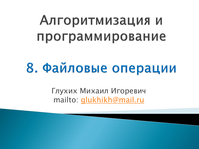# Алгоритмизация и программирование

# 8. Файловые операции

Глухих Михаил Игоревич mailto: [glukhikh@mail.ru](mailto:glukhikh@mail.ru)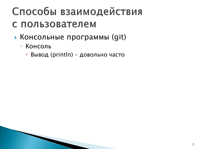- Консольные программы (git)
	- Консоль
		- Вывод (println) довольно часто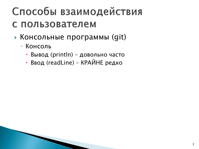- Консольные программы (git)
	- Консоль
		- Вывод (println) довольно часто
		- Ввод (readLine) КРАЙНЕ редко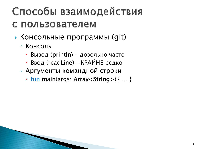- Консольные программы (git)
	- Консоль
		- Вывод (println) довольно часто
		- Ввод (readLine) КРАЙНЕ редко
	- Аргументы командной строки
		- $\cdot$  fun main(args: Array<String>) { ... }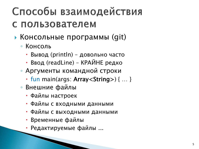- Консольные программы (git)
	- Консоль
		- Вывод (println) довольно часто
		- Ввод (readLine ) КРАЙНЕ редко
	- Аргументы командной строки
		- $\cdot$  fun main(args: Array<String>) { ... }
	- Внешние файлы
		- Файлы настроек
		- Файлы с входными данными
		- Файлы с выходными данными
		- Временные файлы
		- Редактируемые файлы ...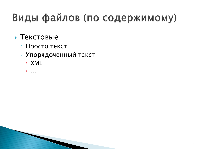### Виды файлов (по содержимому)

#### Текстовые

- Просто текст
- Упорядоченный текст
	- · XML
	- …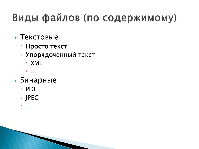## Виды файлов (по содержимому)

#### Текстовые

- Просто текст
- Упорядоченный текст
	- · XML
	- $\bullet$
- Бинарные
	- PDF
	- JPEG

 $^{\circ}$ 

7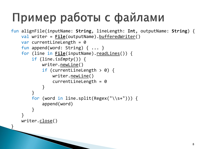## Пример работы с файлами

```
fun alignFile(inputName: String, lineLength: Int, outputName: String) {
    val writer = <u>File</u>(outputName) .<u>bufferedWriter(</u>)</u>
    var currentLineLength = 0fun append(word: String) { ... }
    for (line in File(inputName).readLines()) {
        if (line.isEmpty()) {
            writer.newLine()
             if (currentLineLength > 0) {
                 writer.newLine()
                 currentLineLength = 0}
        }
        for (word in line.split(Regex("\\s+"))) {
            append(word)
        }
    }
    writer.close()
}
```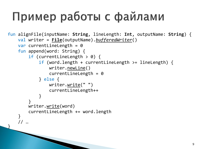## Пример работы с файлами

```
fun alignFile(inputName: String, lineLength: Int, outputName: String) {
    val writer = File(outputName).bufferedWriter()
    var currentLineLength = 0fun append(word: String) {
        if (currentLineLength > 0) {
            if (word.length + currentLineLength >= lineLength) {
                writer.newLine()
                currentLineLength = 0
            } else {
                writer.write(" ")
                currentLineLength++
            }
        }
        writer.write(word)
        currentLineLength += word.length
    }
    // …
}
```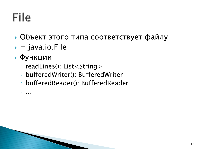## File

- Объект этого типа соответствует файлу
- $\bullet$  = java.io.File
- Функции
	- readLines(): List<String>
	- · bufferedWriter(): BufferedWriter
	- bufferedReader(): BufferedReader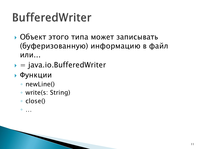# **BufferedWriter**

- Объект этого типа может записывать (буферизованную) информацию в файл ИЛИ...
- $\bullet$  = java.io.BufferedWriter

#### • Функции

- newLine()
- ∘ write(s: String)
- · close()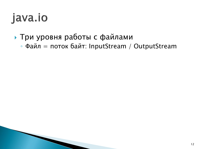- Три уровня работы с файлами
	- Файл = поток байт: InputStream / OutputStream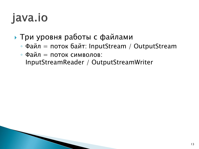- Три уровня работы с файлами
	- Файл = поток байт: InputStream / OutputStream
	- $\circ$  Файл = поток символов: InputStreamReader / OutputStreamWriter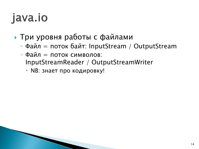- Три уровня работы с файлами
	- Файл = поток байт: InputStream / OutputStream
	- $\circ$  Файл = поток символов: InputStreamReader / OutputStreamWriter
		- NB: знает про кодировку!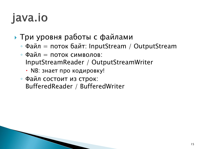- Три уровня работы с файлами
	- Файл = поток байт: InputStream / OutputStream
	- $\circ$  Файл = поток символов: InputStreamReader / OutputStreamWriter
		- NB: знает про кодировку!
	- Файл состоит из строк: BufferedReader / BufferedWriter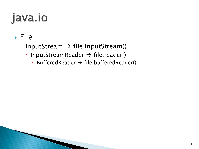### $\triangleright$  File

- InputStream  $\rightarrow$  file.inputStream()
	- InputStreamReader  $\rightarrow$  file.reader()
		- BufferedReader  $\rightarrow$  file.bufferedReader()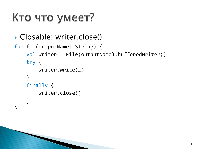# Кто что умеет?

▶ Closable: writer.close()

```
fun foo(outputName: String) {
    val writer = File(outputName).bufferedWriter()
    try {
        writer.write(…)
    }
    finally {
        writer.close()
    }
}
```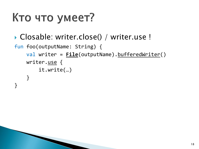# Кто что умеет?

▶ Closable: writer.close() / writer.use !

```
fun foo(outputName: String) {
    val writer = File(outputName).bufferedWriter()
    writer.use {
        it.write(…)
    }
}
```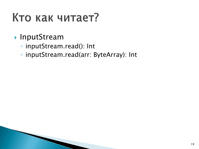## Кто как читает?

### **InputStream**

- inputStream.read(): Int
- inputStream.read(arr: ByteArray): Int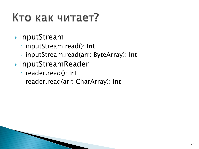# Кто как читает?

### **InputStream**

- inputStream.read(): Int
- inputStream.read(arr: ByteArray): Int
- **InputStreamReader** 
	- reader.read(): Int
	- reader.read(arr: CharArray): Int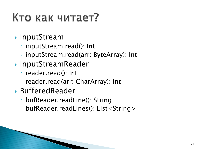# Кто как читает?

#### **InputStream**

- inputStream.read(): Int
- inputStream.read(arr: ByteArray): Int
- ▶ InputStreamReader
	- reader.read(): Int
	- reader.read(arr: CharArray): Int
- BufferedReader
	- bufReader.readLine(): String
	- bufReader.readLines(): List<String>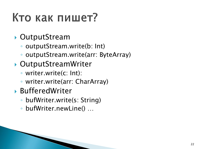# Кто как пишет?

### OutputStream

- outputStream.write(b: Int)
- outputStream.write(arr: ByteArray)
- OutputStreamWriter
	- writer.write(c: Int):
	- writer.write(arr: CharArray)
- BufferedWriter
	- bufWriter.write(s: String)
	- bufWriter.newLine() …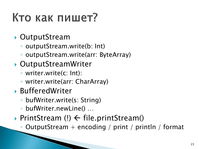# Кто как пишет?

### OutputStream

- outputStream.write(b: Int)
- outputStream.write(arr: ByteArray)
- OutputStreamWriter
	- writer.write(c: Int):
	- writer.write(arr: CharArray)
- BufferedWriter
	- bufWriter.write(s: String)
	- bufWriter.newLine() …
- PrintStream  $(l) \leftarrow fil$ e.printStream()
	- OutputStream + encoding / print / println / format